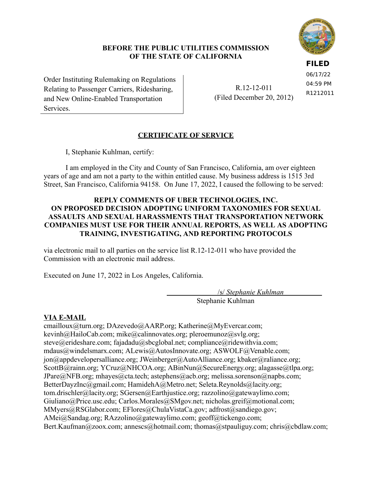## **BEFORE THE PUBLIC UTILITIES COMMISSION OF THE STATE OF CALIFORNIA**

**FILED**

 Order Instituting Rulemaking on Regulations Relating to Passenger Carriers, Ridesharing, and New Online-Enabled Transportation Services.

 R.12-12-011 (Filed December 20, 2012) 06/17/22 04:59 PM R1212011

# **CERTIFICATE OF SERVICE**

I, Stephanie Kuhlman, certify:

 I am employed in the City and County of San Francisco, California, am over eighteen years of age and am not a party to the within entitled cause. My business address is 1515 3rd Street, San Francisco, California 94158. On June 17, 2022, I caused the following to be served:

## **REPLY COMMENTS OF UBER TECHNOLOGIES, INC. ON PROPOSED DECISION ADOPTING UNIFORM TAXONOMIES FOR SEXUAL ASSAULTS AND SEXUAL HARASSMENTS THAT TRANSPORTATION NETWORK COMPANIES MUST USE FOR THEIR ANNUAL REPORTS, AS WELL AS ADOPTING TRAINING, INVESTIGATING, AND REPORTING PROTOCOLS**

 via electronic mail to all parties on the service list R.12-12-011 who have provided the Commission with an electronic mail address.

Executed on June 17, 2022 in Los Angeles, California.

 /s/ *Stephanie Kuhlman* f Stephanie Kuhlman

## **VIA E-MAIL**

cmailloux@turn.org; DAzevedo@AARP.org; Katherine@MyEvercar.com; kevinh@HailoCab.com; mike@calinnovates.org; pleroemunoz@svlg.org; steve@erideshare.com; fajadadu@sbcglobal.net; compliance@ridewithvia.com; mdaus@windelsmarx.com; ALewis@AutosInnovate.org; ASWOLF@Venable.com; jon@appdevelopersalliance.org; JWeinberger@AutoAlliance.org; kbaker@raliance.org; ScottB@rainn.org; YCruz@NHCOA.org; ABinNun@SecureEnergy.org; alagasse@tlpa.org; JPare@NFB.org; mhayes@cta.tech; astephens@acb.org; melissa.sorenson@napbs.com; BetterDayzInc@gmail.com; HamidehA@Metro.net; Seleta.Reynolds@lacity.org; tom.drischler@lacity.org; SGersen@Earthjustice.org; razzolino@gatewaylimo.com; Giuliano@Price.usc.edu; Carlos.Morales@SMgov.net; nicholas.greif@motional.com; MMyers@RSGlabor.com; EFlores@ChulaVistaCa.gov; adfrost@sandiego.gov; AMei@Sandag.org; RAzzolino@gatewaylimo.com; geoff@tickengo.com; Bert.Kaufman@zoox.com; annescs@hotmail.com; thomas@stpauliguy.com; chris@cbdlaw.com;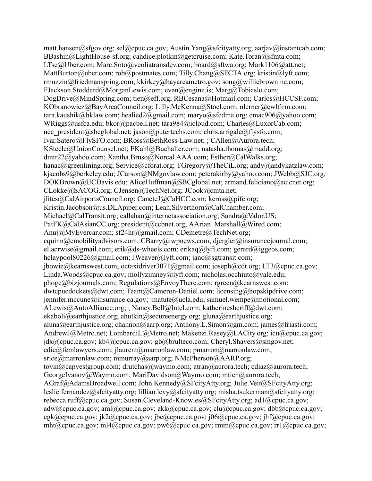matt.hansen@sfgov.org; sel@cpuc.ca.gov; Austin.Yang@sfcityatty.org; aarjav@instantcab.com; BBashin@LightHouse-sf.org; candice.plotkin@getcruise.com; Kate.Toran@sfmta.com; LTse@Uber.com; Marc.Soto@veoliatransdev.com; board@sftwa.org; Mark1106@att.net; MattBurton@uber.com; rob@postmates.com; Tilly.Chang@SFCTA.org; kristin@lyft.com; rmuzzin@friedmanspring.com; kkirkey@bayareametro.gov; song@williebrowninc.com; FJackson.Stoddard@MorganLewis.com; evan@engine.is; Marg@Tobiaslo.com; DogDrive@MindSpring.com; tien@eff.org; RBCesana@Hotmail.com; Carlos@HCCSF.com; KObranowicz@BayAreaCouncil.org; Lilly.McKenna@Stoel.com; nlerner@cwlfirm.com; tara.kaushik@hklaw.com; healied2@gmail.com; maryo@sfcdma.org; cmac906@yahoo.com; WRiggs@usfca.edu; bkor@pacbell.net; tara984@icloud.com; Charles@LuxorCab.com; ncc\_president@sbcglobal.net; jason@putertechs.com; chris.arrigale@flysfo.com; Ivar.Satero@FlySFO.com; BRoss@BethRoss-Law.net; ; CAllen@Aurora.tech; KSteele@UnionCounsel.net; EKahl@Buchalter.com; natasha.thomas@madd.org; dmtr22@yahoo.com; Xantha.Bruso@Norcal.AAA.com; Esther@CalWalks.org; hanac@greenlining.org; Service@cforat.org; TGregory@TheCiL.org; andy@andykatzlaw.com; kjacobs9@berkeley.edu; JCarson@NMgovlaw.com; peterakirby@yahoo.com; JWebb@SJC.org; DOKBrown@UCDavis.edu; AliceHuffman@SBCglobal.net; armand.feliciano@acicnet.org; CLokke@SACOG.org; CJensen@TechNet.org; JCook@cmta.net; jlites@CalAirportsCouncil.org; CaneteJ@CaHCC.com; kcross@pifc.org; Kristin.Jacobson@us.DLApiper.com; Leah.Silverthorn@CalChamber.com; Michael@CalTransit.org; callahan@internetassociation.org; Sandra@Valor.US; PatFK@CalAsianCC.org; president@ccbnet.org; AArian\_Marshall@Wired.com; Anuj@MyEvercar.com; sf24hr@gmail.com; CDemetre@TechNet.org; cquinn@emobilityadvisors.com; CBarry@iwpnews.com; djergler@insurancejournal.com; ellacrwise@gmail.com; erik@ds-wheels.com; erikaq@lyft.com; gerard@iggeos.com; hclaypool80226@gmail.com; JWeaver@lyft.com; jano@sgtransit.com; jbowie@kearnswest.com; octaxidriver3071@gmail.com; joseph@cdt.org; LT3@cpuc.ca.gov; Linda.Woods@cpuc.ca.gov; mollyzimney@lyft.com; nicholas.occhiuto@yale.edu; phoge@bizjournals.com; Regulations@EnvoyThere.com; rgreen@kearnswest.com; dwtcpucdockets@dwt.com; Team@Cameron-Daniel.com; licensing@hopskipdrive.com; jennifer.mccune@insurance.ca.gov; jmatute@ucla.edu; samuel.wempe@motional.com; ALewis@AutoAlliance.org; ; Nancy.Bell@Intel.com; katherinesheriff@dwt.com; ekaboli@earthjustice.org; ahutkin@secureenergy.org; gluna@earthjustice.org; aluna@earthjustice.org; channon@aarp.org; Anthony.L.Simon@gm.com; james@friasti.com; AndrewJ@Metro.net; LombardiL@Metro.net; Makenzi.Rasey@LACity.org; icu@cpuc.ca.gov; jdx@cpuc.ca.gov; kb4@cpuc.ca.gov; gb@brulteco.com; Cheryl.Shavers@smgov.net; edie@femlawyers.com; jlaurent@marronlaw.com; pmarron@marronlaw.com; srice@marronlaw.com; mmurray@aarp.org; NMcPherson@AARP.org; toyin@capvestgroup.com; drutchas@waymo.com; atran@aurora.tech; cdiaz@aurora.tech; GeorgeIvanov@Waymo.com; MariDavidson@Waymo.com; mtien@aurora.tech; AGraf@AdamsBroadwell.com; John.Kennedy@SFcityAtty.org; Julie.Veit@SFcityAtty.org; leslie.fernandez@sfcityatty.org; lillian.levy@sfcityatty.org; misha.tsukerman@sfcityatty.org; rebecca.ruff@cpuc.ca.gov; Susan.Cleveland-Knowles@SFcityAtty.org; ad1@cpuc.ca.gov; adw@cpuc.ca.gov; aml@cpuc.ca.gov; akk@cpuc.ca.gov; clu@cpuc.ca.gov; dbb@cpuc.ca.gov; egk@cpuc.ca.gov; jk2@cpuc.ca.gov; jbe@cpuc.ca.gov; j06@cpuc.ca.gov; jhf@cpuc.ca.gov; mht@cpuc.ca.gov; ml4@cpuc.ca.gov; pw6@cpuc.ca.gov; rmm@cpuc.ca.gov; rr1@cpuc.ca.gov;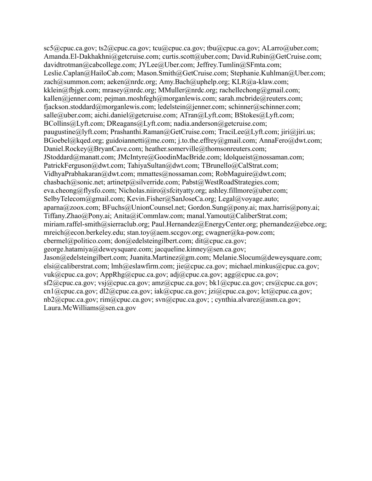$scf(a)$ cpuc.ca.gov; ts2 $(a)$ cpuc.ca.gov; tcu $(a)$ cpuc.ca.gov; tbu $(a)$ cpuc.ca.gov; ALarro $(a)$ uber.com; Amanda.El-Dakhakhni@getcruise.com; curtis.scott@uber.com; David.Rubin@GetCruise.com; davidtrotman@cabcollege.com; JYLee@Uber.com; Jeffrey.Tumlin@SFmta.com; Leslie.Caplan@HailoCab.com; Mason.Smith@GetCruise.com; Stephanie.Kuhlman@Uber.com; zach@summon.com; aeken@nrdc.org; Amy.Bach@uphelp.org; KLR@a-klaw.com; kklein@fbjgk.com; mrasey@nrdc.org; MMuller@nrdc.org; rachellechong@gmail.com; kallen@jenner.com; pejman.moshfegh@morganlewis.com; sarah.mcbride@reuters.com; fjackson.stoddard@morganlewis.com; ledelstein@jenner.com; schinner@schinner.com; salle@uber.com; aichi.daniel@getcruise.com; ATran@Lyft.com; BStokes@Lyft.com; BCollins@Lyft.com; DReagans@Lyft.com; nadia.anderson@getcruise.com; paugustine@lyft.com; Prashanthi.Raman@GetCruise.com; TraciLee@Lyft.com; jiri@jiri.us; BGoebel@kqed.org; guidoiannetti@me.com; j.to.the.effrey@gmail.com; AnnaFero@dwt.com; Daniel.Rockey@BryanCave.com; heather.somerville@thomsonreuters.com; JStoddard@manatt.com; JMcIntyre@GoodinMacBride.com; ldolqueist@nossaman.com; PatrickFerguson@dwt.com; TahiyaSultan@dwt.com; TBrunello@CalStrat.com; VidhyaPrabhakaran@dwt.com; mmattes@nossaman.com; RobMaguire@dwt.com; chasbach@sonic.net; artinetp@silverride.com; Pabst@WestRoadStrategies.com; eva.cheong@flysfo.com; Nicholas.niiro@sfcityatty.org; ashley.fillmore@uber.com; SelbyTelecom@gmail.com; Kevin.Fisher@SanJoseCa.org; Legal@voyage.auto; aparna@zoox.com; BFuchs@UnionCounsel.net; Gordon.Sung@pony.ai; max.harris@pony.ai; Tiffany.Zhao@Pony.ai; Anita@iCommlaw.com; manal.Yamout@CaliberStrat.com; miriam.raffel-smith@sierraclub.org; Paul.Hernandez@EnergyCenter.org; phernandez@ebce.org; mreich@econ.berkeley.edu; stan.toy@aem.sccgov.org; cwagner@ka-pow.com; cbermel@politico.com; don@edelsteingilbert.com; dit@cpuc.ca.gov; george.hatamiya@deweysquare.com; jacqueline.kinney@sen.ca.gov; Jason@edelsteingilbert.com; Juanita.Martinez@gm.com; Melanie.Slocum@deweysquare.com; elsi@caliberstrat.com; lmh@eslawfirm.com; jie@cpuc.ca.gov; michael.minkus@cpuc.ca.gov; vuk@cpuc.ca.gov; AppRhg@cpuc.ca.gov; adj@cpuc.ca.gov; agg@cpuc.ca.gov; sf2@cpuc.ca.gov; vsj@cpuc.ca.gov; amz@cpuc.ca.gov; bk1@cpuc.ca.gov; crs@cpuc.ca.gov; cn1@cpuc.ca.gov; dl2@cpuc.ca.gov; iak@cpuc.ca.gov; jzi@cpuc.ca.gov; lct@cpuc.ca.gov; nb2@cpuc.ca.gov; rim@cpuc.ca.gov; svn@cpuc.ca.gov; ; cynthia.alvarez@asm.ca.gov; Laura.McWilliams@sen.ca.gov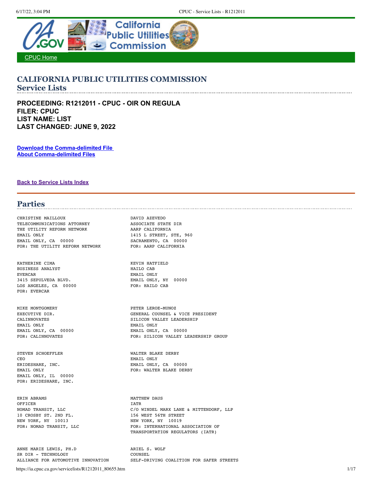<span id="page-3-0"></span>

### **CALIFORNIA PUBLIC UTILITIES COMMISSION Service Lists**

**PROCEEDING: R1212011 - CPUC - OIR ON REGULA FILER: CPUC LIST NAME: LIST LAST CHANGED: JUNE 9, 2022**

**[Download the Comma-delimited File](https://ia.cpuc.ca.gov/servicelists/R1212011_80655.csv)  [About Comma-delimited Files](https://ia.cpuc.ca.gov/servicelists/about_csv.htm)**

**[Back to Service Lists Index](https://ia.cpuc.ca.gov/servicelists/sl_index.htm)**

## **Parties**

CHRISTINE MAILLOUX DAVID AZEVEDO TELECOMMUNICATIONS ATTORNEY ASSOCIATE STATE DIR THE UTILITY REFORM NETWORK AARP CALIFORNIA EMAIL ONLY 1415 L STREET, STE, 960 EMAIL ONLY, CA 00000 SACRAMENTO, CA 00000 FOR: THE UTILITY REFORM NETWORK FOR: AARP CALIFORNIA

KATHERINE CIMA **KEVIN HATFIELD** BUSINESS ANALYST **HAILO CAB** EVERCAR EMAIL ONLY 3415 SEPULVEDA BLVD. EMAIL ONLY, NY 00000 LOS ANGELES, CA 00000 FOR: HAILO CAB FOR: EVERCAR

MIKE MONTGOMERY **PETER LEROE-MUNOZ** EMAIL ONLY EMAIL ONLY

STEVEN SCHOEFFLER WALTER BLAKE DERBY CEO EMAIL ONLY ERIDESHARE, INC. THE SECOND BALL ONLY EMAIL ONLY, IL 00000 FOR: ERIDESHARE, INC.

ERIN ABRAMS MATTHEW DAUS OFFICER IATR 10 CROSBY ST. 2ND FL. 156 WEST 56TH STREET NEW YORK, NY 10013 NEW YORK, NY 10019

ANNE MARIE LEWIS, PH.D ARIEL S. WOLF SR DIR - TECHNOLOGY<br>ALLIANCE FOR AUTOMOTIVE INNOVATION SELF-DR

EXECUTIVE DIR. GENERAL COUNSEL & VICE PRESIDENT CALINNOVATES SILICON VALLEY LEADERSHIP EMAIL ONLY, CA 00000 EMAIL ONLY, CA 00000 FOR: CALINNOVATES FOR: SILICON VALLEY LEADERSHIP GROUP

EMAIL ONLY, CA 00000 EMAIL ONLY **FOR: WALTER BLAKE DERBY** 

C/O WINDEL MARX LANE & MITTENDORF, LLP FOR: NOMAD TRANSIT, LLC FOR: INTERNATIONAL ASSOCIATION OF TRANSPORTATION REGULATORS (IATR)

SELF-DRIVING COALITION FOR SAFER STREETS

https://ia.cpuc.ca.gov/servicelists/R1212011\_80655.htm 1/17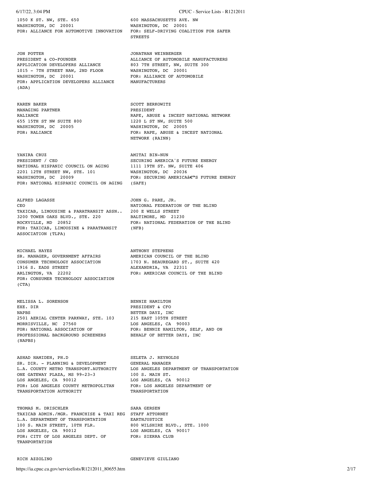1050 K ST. NW, STE. 650 600 MASSACHUSETTS AVE. NW WASHINGTON, DC 20001 WASHINGTON, DC 20001 FOR: ALLIANCE FOR AUTOMOTIVE INNOVATION FOR: SELF-DRIVING COALITION FOR SAFER

JON POTTER JONATHAN WEINBERGER APPLICATION DEVELOPERS ALLIANCE AFFILICATION DEVELOPERS ALLIANCE<br>1015 - 7TH STREET NAW, 2ND FLOOR<br>WASHINGTON, DC 20001 FOR: APPLICATION DEVELOPERS ALLIANCE MANUFACTURERS (ADA)

KAREN BAKER SCOTT BERKOWITZ MANAGING PARTNER PRESIDENT 655 15TH ST NW SUITE 800 1220 L ST NW, SUITE 500 WASHINGTON, DC 20005 WASHINGTON, DC 20005<br>FOR: RALLANCE FOR: RAPE, ABUSE & INC

YANIRA CRUZ **AMITAI BIN-NUN** PRESIDENT / CEO SECURING AMERICA'S FUTURE ENERGY NATIONAL HISPANIC COUNCIL ON AGING 2201 12TH STREET NW, STE. 101 WASHINGTON, DC 20036 WASHINGTON, DC 20009 FOR: SECURING AMERICA $\hat{a}\epsilon^{\mathfrak{m}}$ S FUTURE ENERGY FOR: NATIONAL HISPANIC COUNCIL ON AGING (SAFE) FOR: NATIONAL HISPANIC COUNCIL ON AGING

ALFRED LAGASSE JOHN G. PARE, JR. CEO NATIONAL FEDERATION OF THE BLIND TAXICAB, LIMOUSINE & PARATRANSIT ASSN.. 200 E WELLS STREET 3200 TOWER OAKS BLVD., STE. 220 BALTIMORE, MD 21230 ROCKVILLE, MD 20852<br>FOR: NATIONAL FEDERATION OF THE BLIND<br>FOR: TAXICAB, LIMOUSINE & PARATRANSIT (NFB) FOR: TAXICAB, LIMOUSINE & PARATRANSIT ASSOCIATION (TLPA)

MICHAEL HAYES **ANTHONY STEPHENS** SR. MANAGER, GOVERNMENT AFFAIRS AMERICAN COUNCIL OF THE BLIND CONSUMER TECHNOLOGY ASSOCIATION 1703 N. BEAUREGARD ST., SUITE 1916 S. EADS STREET ALEXANDRIA, VA 22311 ARLINGTON, VA 22202 FOR: AMERICAN COUNCIL OF THE BLIND FOR: CONSUMER TECHNOLOGY ASSOCIATION (CTA)

MELISSA L. SORENSON BENNIE HAMILTON BENNIE HAMILTON NAPBS BETTER DAYZ, INC 2501 AERIAL CENTER PARKWAY, STE. 103 215 EAST 105TH STREET MORRISVILLE, NC 27560 LOS ANGELES, CA 90003 FOR: NATIONAL ASSOCIATION OF TOR: BENNIE HAMILTON, SELF, AND ON PROFESSIONAL BACKGROUND SCREENERS BEHALF OF BETTER DAYZ, INC (NAPBS)

ASHAD HAMIDEH, PH.D SELETA J. REYNOLDS SR. DIR. - PLANNING & DEVELOPMENT GENERAL MANAGER ONE GATEWAY PLAZA, MS 99-23-3 100 S. MAIN ST. ONE GATEWAY PLAZA, MS 99-23-3<br>
LOS ANGELES, CA 90012<br>
FOR: LOS ANGELES COUNTY METROPOLITAN<br>
FOR: LOS ANGELES DEPARTMENT OF FOR: LOS ANGELES COUNTY METROPOLITAN FOR: LOS ANGELES TRANSPORTATION AUTHORITY TRANSPORTATION TRANSPORTATION AUTHORITY

THOMAS M. DRISCHLER SARA GERSEN TAXICAB ADMIN./MGR. FRANCHISE & TAXI REG STAFF ATTORNEY L.A. DEPARTMENT OF TRANSPORTATION EARTHJUSTICE 100 S. MAIN STREET, 10TH FLR. 800 WILSHIRE BLVD., STE. 1000 LOS ANGELES, CA 90012 LOS ANGELES, CA 90017<br>
FOR: CITY OF LOS ANGELES DEPT. OF FOR: SIERRA CLUB FOR: CITY OF LOS ANGELES DEPT. OF TRANPORTATION

RICH AZZOLINO GENEVIEVE GIULIANO

### 6/17/22, 3:04 PM CPUC - Service Lists - R1212011

STREETS

ALLIANCE OF AUTOMOBILE MANUFACTURERS<br>803 7TH STREET, NW, SUITE 300<br>WASHINGTON, DC 20001 FOR: ALLIANCE OF AUTOMOBILE

RALIANCE RAPE, ABUSE & INCEST NATIONAL NETWORK FOR: RAPE, ABUSE & INCEST NATIONAL NETWORK (RAINN)

1703 N. BEAUREGARD ST., SUITE 420

PRESIDENT & CFO

L.A. COUNTY METRO TRANSPORT.AUTHORITY LOS ANGELES DEPARTMENT OF TRANSPORTATION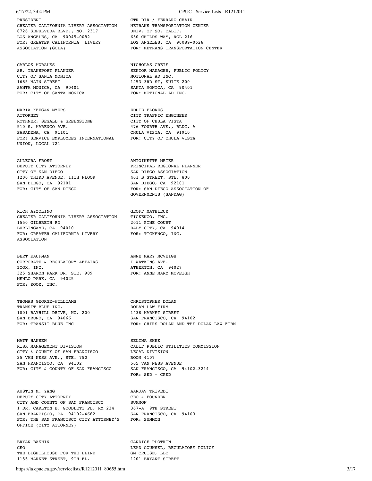PRESIDENT CTR DIR / FERRARO CHAIR GREATER CALIFORNIA LIVERY ASSOCIATION METRANS TRANSPORTATION CENTER 8726 SEPULVEDA BLVD., NO. 2317 UNIV. OF SO. CALIF. 8726 SEPULVEDA BLVD., NO. 2317 UNIV. OF SO. CALIF.<br>LOS ANGELES, CA 90045-0082 650 CHILDS WAY, RGL 216 LOS ANGELES, CA 90045-0082 650 CHILDS WAY, RGL 216<br>FOR: GREATER CALIFORNIA LIVERY LOS ANGELES, CA 90089-0626 FOR: GREATER CALIFORNIA LIVERY ASSOCIATION (GCLA) FOR: METRANS TRANSPORTATION CENTER

CITY OF SANTA MONICA **MOTIONAL AD INC.** 1685 MAIN STREET 1453 3RD ST, SUITE 200<br>
SANTA MONICA, CA 90401 SANTA MONICA, CA 90401 SANTA MONICA, CA 90401 SANTA MONICA, CA 90401 SANTA MONICA SANTA MONICA FOR: CITY OF SANTA MONICA

MARIA KEEGAN MYERS EDDIE FLORES ATTORNEY CITY TRAFFIC ENGINEER ROTHNER, SEGALL & GREENSTONE EXPLAINER, DEGREE & SUBDIVERSION AND 476 FOURTH AVE., BLDG. A PASADENA, CA 91101 CHULA VISTA, CA 91910 FOR: SERVICE EMPLOYEES INTERNATIONAL FOR: CITY OF CHULA VISTA UNION, LOCAL 721

ALLEGRA FROST ANTOINETTE MEIER DEPUTY CITY ATTORNEY PRINCIPAL REGIONAL PLANNER CITY OF SAN DIEGO SAN DIEGO ASSOCIATION 1200 THIRD AVENUE, 11TH FLOOR 401 B STREET, STE. 800<br>
SAN DIEGO, CA 92101 5AN DIEGO, CA 92101 FOR: CITY OF SAN DIEGO FOR: SAN DIEGO ASSOCIATION OF

RICH AZZOLINO GEOFF MATHIEUX GREATER CALIFORNIA LIVERY ASSOCIATION TICKENGO, INC. 1550 GILBRETH RD<br>
1550 GILBRETH RD<br>
2011 PINE COURT PINE COURT BURLINGAME, CA 94014 BURLINGAME, CA 94010 DALY CITY, CA 9401<br>FOR: GREATER CALIFORNIA LIVERY FOR: TICKENGO, INC. FOR: GREATER CALIFORNIA LIVERY ASSOCIATION

BERT KAUFMAN ANNE MARY MCVEIGH CORPORATE & REGULATORY AFFAIRS TWATKINS AVE. CORPORATE & REGULATORY AFFAIRS ZOOX, INC. THERTON, CA 94027 325 SHARON PARK DR. STE. 909 FOR: ANNE MARY MCVEIGH MENLO PARK, CA 94025 FOR: ZOOX, INC.

THOMAS GEORGE-WILLIAMS CHRISTOPHER DOLAN TRANSIT BLUE INC. THE SECOND ONLAN LAW FIRM 1001 BAYHILL DRIVE, NO. 200 1438 MARKET STREET SAN BRUNO, CA 94066 SAN FRANCISCO, CA 94102<br>FOR: TRANSIT BLUE INC SAN FOR: CHIRS DOLAN AND THE

MATT HANSEN SELINA SHEK CITY & COUNTY OF SAN FRANCISCO LEGAL DIVISION 25 VAN NESS AVE., STE. 750 ROOM 4107 SAN FRANCISCO, CA 94102 505 VAN NESS AVENUE FOR: CITY & COUNTY OF SAN FRANCISCO SAN FRANCISCO, CA 94102-3214

AUSTIN M. YANG AARJAV TRIVEDI DEPUTY CITY ATTORNEY **CEO** & FOUNDER CITY AND COUNTY OF SAN FRANCISCO SUMMON 1 DR. CARLTON B. GOODLETT PL, RM 234 367-A 9TH STREET SAN FRANCISCO, CA 94102-4682 SAN FRANCISCO, CA 94103 FOR: THE SAN FRANCISCO CITY ATTORNEY'S FOR: SUMMON OFFICE (CITY ATTORNEY)

BRYAN BASHIN CANDICE PLOTKIN THE LIGHTLHOUSE FOR THE BLIND 1155 MARKET STREET, 9TH FL. 1201 BRYANT STREET

### 6/17/22, 3:04 PM CPUC - Service Lists - R1212011

CARLOS MORALES<br>
SR. TRANSPORT PLANNER<br>
SENIOR MANAGER, PUBLIC POLICY SR. TRANSPORT PLANNER SENIOR MANAGER, PUBLIC POLICY

SAN DIEGO, CA 92101 GOVERNMENTS (SANDAG)

FOR: CHIRS DOLAN AND THE DOLAN LAW FIRM

CALIF PUBLIC UTILITIES COMMISSION FOR: SED - CPED

CEO LEAD COUNSEL, REGULATORY POLICY THE LIGHTLHOUSE FOR THE BLIND GM CRUISE, LLC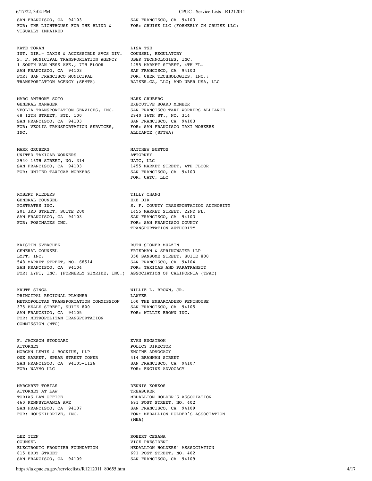SAN FRANCISCO, CA 94103 SAN FRANCISCO, CA 94103 VISUALLY IMPAIRED

KATE TORAN DESCRIPTION OF THE LISA TSE INT. DIR.- TAXIS & ACCESSIBLE SVCS DIV. COUNSEL, REGULATORY S. F. MUNICIPAL TRANSPORTATION AGENCY UBER TECHNOLOGIES, INC. 1 SOUTH VAN NESS AVE., 7TH FLOOR 1455 MARKET STREET, 4TH FL. SAN FRANCISCO, CA 94103 SAN FRANCISCO, CA 94103 FOR: SAN FRANCISCO MUNICIPAL FOR: UBER TECHNOLOGIES, INC.; TRANSPORTATION AGENCY (SFMTA) RAISER-CA, LLC; AND UBER USA, LLC

MARC ANTHONY SOTO **MARK GRUBERG** GENERAL MANAGER **EXECUTIVE BOARD MEMBER** VEOLIA TRANSPORTATION SERVICES, INC. SAN FRANCISCO TAXI WORKERS ALLIANCE 012011A 1888812 1888812 1898812 1898812 1898812 1898812 1898812 1898812 1898812 1898812 1898812 1898812 189881<br>
SAN FRANCISCO, CA 94103 1898812 1898812 1898812 1898812 1898812 1898812 1898812 1899811 FOR: VEOLIA TRANSPORTATION SERVICES, INC. ALLIANCE (SFTWA)

MARK GRUBERG MATTHEW BURTON UNITED TAXICAB WORKERS ATTORNEY 2940 16TH STREET, NO. 314 UATC, LLC<br>
SAN FRANCISCO, CA 94103 1455 MARK FOR: UNITED TAXICAB WORKERS SAN FRANCISCO, CA 94103

ROBERT RIEDERS TILLY CHANG GENERAL COUNSEL **EXEMPTE SEXEMBLE SEXEMBLE SEXEMPTE SEXEMPTE** SAN FRANCISCO, CA 94103

KRISTIN SVERCHEK MUZZIN STONER MUZZIN GENERAL COUNSEL STONER STONER STONER STONER STONER STONE STONE STONE STONE STONE STONE STONE STONE STONE STONE STONE STONE STONE STONE STONE STONE STONE STONE STONE STONE STONE STONE S LYFT, INC. 350 SANSOME STREET, SUITE 800 548 MARKET STREET, NO. 68514 SAN FRANCISCO, CA 94104 SAN FRANCISCO, CA 94104 FOR: TAXICAB AND PARATRANSIT FOR: LYFT, INC. (FORMERLY ZIMRIDE, INC.) ASSOCIATION OF CALIFORNIA (TPAC)

KRUTE SINGA WILLIE L. BROWN, JR. PRINCIPAL REGIONAL PLANNER METROPOLITAN TRANSPORTATION COMMISSION 100 THE EMBARCADERO PENTHOUSE 375 BEALE STREET, SUITE 800 SAN FRANCISCO, CA 94105 SAN FRANCSICO, CA 94105 FOR: WILLIE BROWN INC. FOR: METROPOLITAN TRANSPORTATION COMMISSION (MTC)

F. JACKSON STODDARD EVAN ENGSTROM ATTORNEY POLICY DIRECTOR MORGAN LEWIS & BOCKIUS, LLP ENGINE ADVOCACY ONE MARKET, SPEAR STREET TOWER SAN FRANCISCO, CA 94105-1126 SAN FRANCISCO, CA 94107 FOR: WAYMO LLC FOR: ENGINE ADVOCACY

MARGARET TOBIAS DENNIS KORKOS ATTORNEY AT LAW SAN FRANCISCO, CA 94107<br>FOR: HOPSKIPDRIVE, INC.

LEE TIEN ROBERT CESANA COUNSEL VICE PRESIDENT 815 EDDY STREET 691 POST STREET, NO. 402 SAN FRANCISCO, CA 94109 SAN FRANCISCO, CA 94109

6/17/22, 3:04 PM CPUC - Service Lists - R1212011

FOR: THE LIGHTHOUSE FOR THE BLIND & FOR: CRUISE LLC (FORMERLY GM CRUISE LLC)

SAN FRANCISCO, CA 94103<br>FOR: SAN FRANCISCO TAXI WORKERS

1455 MARKET STREET, 4TH FLOOR FOR: UATC, LLC

POSTMATES INC. THE SAME SOLUMER SECTION AND RESERVE TRANSPORTATION AUTHORITY 201 3RD STREET, SUITE 200<br>201 3RD STREET, SUITE 200<br>201 SAN FRANCISCO, CA 94103<br>201 SAN FRANCISCO, CA 94103 FOR: POSTMATES INC. THE SAN FRANCISCO COUNTY TRANSPORTATION AUTHORITY

FRIEDMAN & SPRINGWATER LLP

TOBIAS LAW OFFICE MEDALLION HOLDER'S ASSOCIATION 460 PENNSYLVANIA AVE 691 POST STREET, NO. 402<br>
SAN FRANCISCO, CA 94107 6AN FRANCISCO, CA 94109 FOR: MEDALLION HOLDER'S ASSOCIATION (MHA)

ELECTRONIC FRONTIER FOUNDATION MEDALLION HOLDERS' ASSSOCIATION

https://ia.cpuc.ca.gov/servicelists/R1212011\_80655.htm 4/17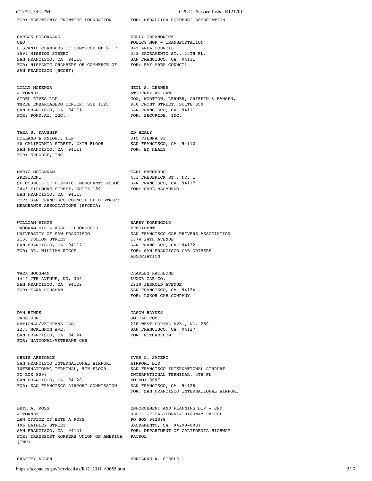CARLOS SOLORZANO KELLY OBRANOWICZ CEO CEO POLICY MGR - TRANSPORTATION HISPANIC CHAMBERS OF COMMERCE OF S. F. BAY AREA COUNCIL 3597 MISSION STREET 353 SACRAMENTO ST., 10TH FL. SAN FRANCISCO, CA 94110 SAN FRANCISCO, CA 94111 FOR: HISPANIC CHAMBERS OF COMMERCE OF FOR: BAY AREA COUNCIL SAN FRANCISCO (HCCSF)

LILLY MCKENNA NEIL S. LERNER ATTORNEY AT LAIR ATTORNEY AT LAIR ATTORNEY AT LAIR ATTORNEY AT LAIR AND ATTORNEY AT LAIR AT LAIR AT LAIR AND A LAIR AND A LAIR AND A LAIR AND A LAIR AND A LAIR AND A LAIR AND A LAIR AND A LAIR THREE EMBARCADERO CENTER, STE 1120 900 FRONT STREET, SUITE 350 SAN FRANCISCO, CA 94111 SAN FRANCISCO, CA 94111 FOR: PONY.AI, INC. THE REGURIDE, INC.

TARA S. KAUSHIK ED HEALY HOLLAND & KNIGHT, LLP 315 VIENNA ST. 50 CALIFORNIA STREET, 28TH FLOOR SAN FRANCISCO, CA 94112<br>SAN FRANCISCO, CA 94111 FOR: ED HEALY SAN FRANCISCO, CA 94111 FOR: SHUDDLE, INC

MARYO MOGANNAM CARL MACMURDO PRESIDENT 431 FREDERICK ST., NO. 1<br>SF COUNCIL OF DISTRICT MERCHANTS ASSOC. SAN FRANCISCO, CA 94117 SF COUNCIL OF DISTRICT MERCHANTS ASSOC. 2443 FILLMORE STREET, SUITE 189 FOR: CARL MACMURDO SAN FRANCISCO, CA 94115 FOR: SAN FRANCISCO COUNCIL OF DISTRICT MERCHANTS ASSOCIATIONS (SFCDMA)

WILLIAM RIGGS<br>
PROGRAM DIR – ASSOC. PROFESSOR<br>
PRESIDENT PROGRAM DIR - ASSOC. PROFESSOR<br>UNIVERSITY OF SAN FRANCISCO 2130 FULTON STREET 1874 24TH AVENUE SAN FRANCISCO, CA 94117 SAN FRANCISCO, CA 94122<br>FOR: DR. WILLIAM RIGGS SAN FRANCISCO CAB DI

TARA HOUSMAN CHARLES RATHBONE 1444 7TH AVENUE, NO. 304 LUXOR CAB CO. SAN FRANCISCO, CA 94122 2230 JERROLD AVENUE

DAN HINDS JASON HAYNES PRESIDENT GOTCAB.COM 2270 MCKINNON AVE. SAN FRANCISCO, CA 94127 SAN FRANCISCO, CA 94124 FOR: GOTCAB.COM FOR: NATIONAL/VETERANS CAB

CHRIS ARRIGALE **IVAR C. SATERO** SAN FRANCISCO INTERNATIONAL AIRPORT AIRPORT DIR PO BOX 8097 **INTERNATIONAL TERMINAL, 5TH FL** SAN FRANCISCO, CA 94128 PO BOX 8097 FOR: SAN FRANCISCO AIRPORT COMMISSION SAN FRANCISCO, CA 94128

BETH A. ROSS ENFORCEMENT AND PLANNING DIV - EPD ATTORNEY DEPT. OF CALIFORNIA HIGHWAY PATROL LAW OFFICE OF BETH A ROSS PO BOX 942898 196 LAIDLEY STREET SACRAMENTO, CA 94298-0001 SAN FRANCISCO, CA 94131 FOR: DEPARTMENT OF CALIFORNIA HIGHWAY FOR: TRANSPORT WORKERS UNION OF AMERICA PATROL (TWU)

CHARITY ALLEN **KERIANNE R. STEELE** 

6/17/22, 3:04 PM CPUC - Service Lists - R1212011

FOR: ELECTRONIC FRONTIER FOUNDATION FOR: MEDALLION HOLDERS' ASSOCIATION

ATTORNEY AT LAW STOEL RIVES LLP COX, WOOTTON, LERNER, GRIFFIN & HANSEN,

SAN FRANCISCO CAB DRIVERS ASSOCIATION FOR: SAN FRANCISCO CAB DRIVERS ASSOCIATION

FOR: TARA HOUSMAN SAN FRANCISCO, CA 94124 FOR: LUXOR CAB COMPANY

236 WEST PORTAL AVE., NO. 280

INTERNATIONAL TERMINAL, 5TH FLOOR SAN FRANCISCO INTERNATIONAL AIRPORT FOR: SAN FRANCISCO INTERNATIONAL AIRPORT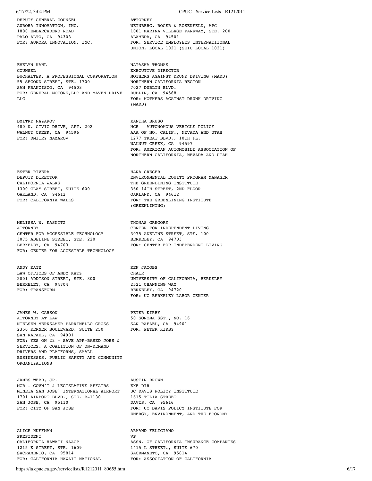DEPUTY GENERAL COUNSEL ATTORNEY PALO ALTO, CA 94303 ALAMEDA, CA 94501

EVELYN KAHL NATASHA THOMAS COUNSEL NATASHA THOMAS COUNSEL BUCHALTER, A PROFESSIONAL CORPORATION 55 SECOND STREET, STE. 1700 **NORTHERN CALIFORNIA REGION**<br>
SAN FRANCISCO. CA 94503 **1027 DIRLEN BLYD.** SAN FRANCISCO, CA 94503 7027 DUBLIN BLVD.<br>FOR: GENERAL MOTORS, LLC AND MAVEN DRIVE DUBLIN, CA 94568 FOR: GENERAL MOTORS, LLC AND MAVEN DRIVE LLC **FOR: MOTHERS AGAINST DRUNK DRIVING** 

DMITRY NAZAROV XANTHA BRUSO

ESTER RIVERA **HANA** CREGER 1300 CLAY STREET, SUITE 600 360 14TH STREET, 2ND FLOOR OAKLAND, CA 94612<br>
FOR: CALIFORNIA WALKS
FOR: CALIFORNIA WALKS
FOR: THE GREENLININ

MELISSA W. KASNITZ THOMAS GREGORY THOMAS GREGORY CENTER FOR ACCESSIBLE TECHNOLOGY 3075 ADELINE STREET, STE. 100 3075 ADELINE STREET, STE. 220 BERKELEY, CA 94703 BERKELEY, CA 94703 FOR: CENTER FOR INDEPENDENT LIVING FOR: CENTER FOR ACCESIBLE TECHNOLOGY

ANDY KATZ **KEN JACOBS** LAW OFFICES OF ANDY KATZ CHAIR BERKELEY, CA 94704 2521 CHANNING WAY FOR: TRANSFORM BERKELEY, CA 94720

JAMES W. CARSON PETER KIRBY ATTORNEY AT LAW 50 SONOMA SST., NO. 16<br>NIELSEN MERKSAMER PARRINELLO GROSS 5AN RAFAEL, CA 94901 NIELSEN MERKSAMER PARRINELLO GROSS SAN RAFAEL, CA<br>2350 KERNER BOULEVARD. SUITE 250 FOR: PETER KIRBY 2350 KERNER BOULEVARD, SUITE 250 SAN RAFAEL, CA 94901 FOR: YES ON 22 - SAVE APP-BASED JOBS & SERVICES: A COALITION OF ON-DEMAND DRIVERS AND PLATFORMS, SMALL BUSINESSES, PUBLIC SAFETY AND COMMUNITY ORGANIZATIONS

JAMES WEBB, JR. AUSTIN BROWN MGR - GOVN'T & LEGISLATIVE AFFAIRS EXE DIR<br>MINETA SAN JOSE' INTERNATIONAL AIRPORT UC DAVIS POLICY INSTITUTE MINETA SAN JOSE' INTERNATIONAL AIRPORT 1701 AIRPORT BLVD., STE. B-1130 1615 TILIA STREET SAN JOSE, CA 95110 DAVIS, CA 95616<br>
FOR: CITY OF SAN JOSE FOR: UC DAVIS POI

ALICE HUFFMAN **ARMAND** FELICIANO PRESIDENT VP 1215 K STREET, STE. 1609 1415 L STREET., SUITE 670 SACRAMENTO, CA 95814 SACRMANETO, CA 95814 FOR: CALIFORNIA HAWAII NATIONAL FOR: ASSOCIATION OF CALIFORNIA

AURORA INNOVATION, INC. WEINBERG, ROGER & ROSENFELD, APC 1880 EMBARCADERO ROAD 1001 MARINA VILLAGE PARKWAY, STE. 200 FOR: SERVICE EMPLOYEES INTERNATIIONAL UNION, LOCAL 1021 (SEIU LOCAL 1021)

EXECUTIVE DIRECTOR<br>MOTHERS AGAINST DRUNK DRIVING (MADD) (MADD)

480 N. CIVIC DRIVE, APT. 202 MGR - AUTONOMOUS VEHICLE POLICY WALNUT CREEK, CA 94596 <br>
FOR: DMITRY NAZAROV 1277 TREAT BLVD., 10TH FL. 1277 TREAT BLVD., 10TH FL. WALNUT CREEK, CA 94597 FOR: AMERICAN AUTOMOBILE ASSOCIATION OF NORTHERN CALIFORNIA, NEVADA AND UTAH

DEPUTY DIRECTOR ENVIRONMENTAL EQUITY PROGRAM MANAGER THE GREENLINING INSTITUTE FOR: THE GREENLINING INSTITUTE (GREENLINING)

CENTER FOR INDEPENDENT LIVING

2001 ADDISON STREET, STE. 300 UNIVERSITY OF CALIFORNIA, BERKELEY FOR: UC BERKELEY LABOR CENTER

FOR: UC DAVIS POLICY INSTITUTE FOR ENERGY, ENVIRONMENT, AND THE ECONOMY

CALIFORNIA HAWAII NAACP **ASSN.** OF CALIFORNIA INSURANCE COMPANIES

https://ia.cpuc.ca.gov/servicelists/R1212011\_80655.htm 6/17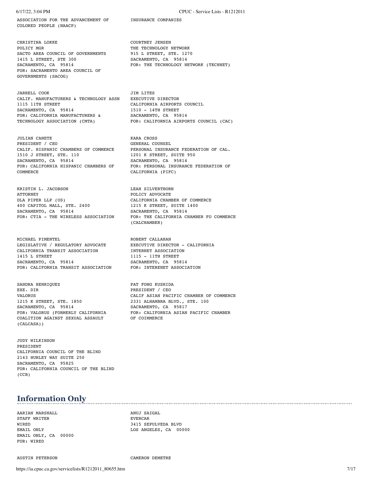ASSOCIATION FOR THE ADVANCEMENT OF INSURANCE COMPANIES COLORED PEOPLE (NAACP)

CHRISTINA LOKKE COURTNEY JENSEN POLICY MGR THE TECHNOLOGY NETWORK SACTO AREA COUNCIL OF GOVERNMENTS 915 L STREET, STE. 1270<br>1415 L STREET, STE 300 SACRAMENTO, CA 95814 1415 L STREET, STE 300 SACRAMENTO, CA 95814 FOR: THE TECHNOLOGY NETWORK (TECHNET) FOR: SACRAMENTO AREA COUNCIL OF GOVERNMENTS (SACOG)

JARRELL COOK JIM LITES CALIF. MANUFACTURERS & TECHNOLOGY ASSN EXECUTIVE DIRECTOR 1115 11TH STREET CALIFORNIA AIRPORTS COUNCIL SACRAMENTO, CA 95814 1510 - 14TH STREET FOR: CALIFORNIA MANUFACTURERS & SACRAMENTO, CA 95814 TECHNOLOGY ASSOCIATION (CMTA) FOR: CALIFORNIA AIRPORTS COUNCIL (CAC)

JULIAN CANETE KARA CROSS PRESIDENT / CEO GENERAL COUNSEL 1510 J STREET, STE. 110 1201 K STREET, SUITE 950 SACRAMENTO, CA 95814 SACRAMENTO, CA 95814<br>FOR: CALIFORNIA HISPANIC CHAMBERS OF FOR: PERSONAL INSURAN COMMERCE CALIFORNIA (PIFC)

KRISTIN L. JACOBSON LEAH SILVERTHORN ATTORNEY POLICY ADVOCATE DLA PIPER LLP (US) CALIFORNIA CHAMBER OF COMMERCE 400 CAPITOL MALL, STE. 2400 1215 K STREET, SUITE 1400 SACRAMENTO, CA 95814 SACRAMENTO, CA 95814<br>FOR: CTIA - THE WIRELESS ASSOCIATION FOR: THE CALIFORNIA C

MICHAEL PIMENTEL **Executes ROBERT CALLAHAN** LEGISLATIVE / REGULATORY ADVOCATE EXECUTIVE DIRECTOR - CALIFORNIA<br>CALIFORNIA TRANSIT ASSOCIATION INTERNET ASSOCIATION CALIFORNIA TRANSIT ASSOCIATION 1415 L STREET 1115 – 11TH STREET SACRAMENTO, CA 95814 SACRAMENTO, CA 95 FOR: CALIFORNIA TRANSIT ASSOCIATION

SANDRA HENRIQUEZ PAT FONG KUSHIDA EXE. DIR PRESIDENT / CEO 1215 K STREET, STE. 1850 2331 ALHAMBRA BLVD., STE. 100<br>
SACRAMENTO, CA 95814 SACRAMENTO, CA 95817 COALITION AGAINST SEXUAL ASSAULT OF COIMMERCE (CALCASA))

JUDY WILKINSON PRESIDENT CALIFORNIA COUNCIL OF THE BLIND 2143 HURLEY WAY SUITE 250 SACRAMENTO, CA 95825 FOR: CALIFORNIA COUNCIL OF THE BLIND (CCB)

## **Information Only**

AARIAN MARSHALL ANUJ SAIGAL STAFF WRITER **EVERCAR** WIRED 3415 SEPULVEDA BLVD EMAIL ONLY, CA 00000 FOR: WIRED

EMAIL ONLY **LOS ANGELES, CA** 00000

AUSTIN PETERSON CAMERON DEMETRE

6/17/22, 3:04 PM CPUC - Service Lists - R1212011

PERSONAL INSURANCE FEDERATION OF CAL. FOR: PERSONAL INSURANCE FEDERATION OF

FOR: THE CALIFORNIA CHAMBER FO COMMERCE (CALCHAMBER)

SACRAMENTO, CA 95814<br>FOR: INTERENET ASSOCIATION

VALORUS CALIF ASIAN PACIFIC CHAMBER OF COMMERCE SACRAMENTO, CA 95817 FOR: VALORUS (FORMERLY CALIFORNIA FOR: CALIFORNIA ASIAN PACIFIC CHAMBER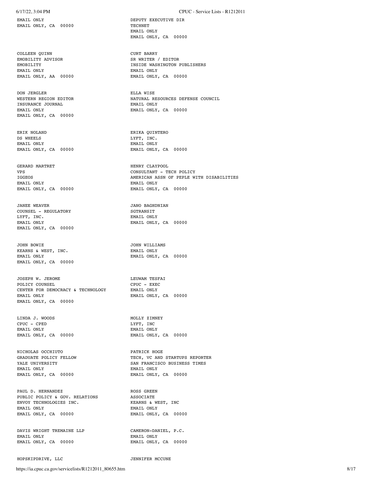EMAIL ONLY **DEPUTY EXECUTIVE DIR** EMAIL ONLY, CA 00000 TECHNET

COLLEEN QUINN CURT BARRY EMOBILITY ADVISOR CURT BARRY SR WRITER EMAIL ONLY EMAIL ONLY

DON JERGLER **ELLA WISE** INSURANCE JOURNAL EMAIL ONLY, CA 00000

ERIK NOLAND ERIKA QUINTERO EMAIL ONLY EMAIL ONLY

GERARD MARTRET **HENRY CLAYPOOL** EMAIL ONLY, CA 00000 EMAIL ONLY, CA 00000

JANEE WEAVER **In the Second Contract CONTROL** COUNSEL - REGULATORY SGTRANSIT EMAIL ONLY, CA 00000

JOHN BOWIE JOHN WILLIAMS KEARNS & WEST, INC. EMAIL ONLY, CA 00000

JOSEPH W. JEROME **LEUWAM TESFAI** POLICY COUNSEL CPUC - EXEC CENTER FOR DEMOCRACY & TECHNOLOGY EMAIL ONLY EMAIL ONLY **EMAIL ONLY, CA** 00000 EMAIL ONLY, CA 00000

LINDA J. WOODS MOLLY ZIMNEY CPUC - CPED LYFT, INC CPUC - CPED<br>EMAIL ONLY

NICHOLAS OCCHIUTO PATRICK HOGE EMAIL ONLY EMAIL ONLY EMAIL ONLY, CA 00000 EMAIL ONLY, CA 00000

PAUL D. HERNANDEZ ROSS GREEN PUBLIC POLICY & GOV. RELATIONS ASSOCIATE ENVOY TECHNOLOGIES INC. EMAIL ONLY  $\begin{array}{ll}\texttt{EMAIL} & \texttt{ENAIL} & \texttt{ONLY} \\ \texttt{EMAIL} & \texttt{ONLY} & \texttt{CMAL} & \texttt{ONLY} \end{array}$ 

DAVIS WRIGHT TREMAINE LLP CAMERON-DANIEL, P.C. EMAIL ONLY  $\begin{array}{lll} \texttt{EMAIL} & \texttt{ONLI} & \texttt{ONLI} \\ \texttt{EMAIL} & \texttt{ONLI} & \texttt{CA} & 00000 & \texttt{EMAIL} \end{array}$ 

HOPSKIPDRIVE, LLC JENNIFER MCCUNE

### 6/17/22, 3:04 PM CPUC - Service Lists - R1212011

 EMAIL ONLY EMAIL ONLY, CA 00000

SR WRITER / EDITOR EMOBILITY INSIDE WASHINGTON PUBLISHERS EMAIL ONLY, CA 00000

WESTERN REGION EDITOR **NATURAL RESOURCES DEFENSE COUNCIL** INSURANCE JOURNAL NATURAL EMAIL ONLY EMAIL ONLY **EMAIL ONLY, CA** 00000

> LYFT, INC. EMAIL ONLY, CA 00000 EMAIL ONLY, CA 00000

VPS CONSULTANT - TECH POLICY IGGEOS AMERICAN ASSN OF PEPLE WITH DISABILITIES EMAIL ONLY<br>EMAIL ONLY, CA 00000

EMAIL ONLY EMAIL ONLY **EMAIL ONLY, CA** 00000

EMAIL ONLY **EMAIL ONLY, CA** 00000

EMAIL ONLY EMAIL ONLY, CA 00000 EMAIL ONLY, CA 00000

TECH, VC AND STARTUPS REPORTER YALE UNIVERSITY SAN FRANCISCO BUSINESS TIMES

EMAIL ONLY, CA 00000 EMAIL ONLY, CA 00000

EMAIL ONLY, CA 00000 EMAIL ONLY, CA 00000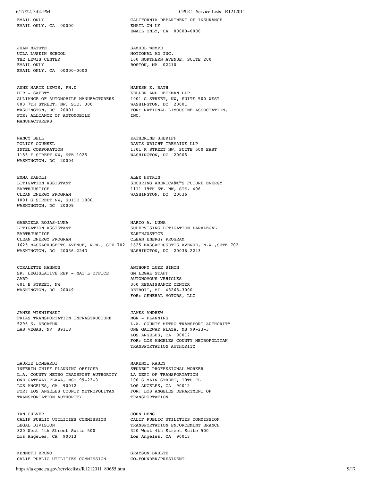EMAIL ONLY, CA 00000 EMAIL ON LY

JUAN MATUTE SAMUEL WEMPE UCLA LUSKIN SCHOOL MOTIONAL AD INC. EMAIL ONLY BOSTON, MA 02210 EMAIL ONLY, CA 00000-0000

ANNE MARIE LEWIS, PH.D MANESH K. RATH DIR - SAFETY ALLIANCE OF AUTOMOBILE MANUFACTURERS 1001 G STREET, NW, SUITE 500 WEST 803 7TH STREET, NW, STE. 300 WASHINGTON, DC 20001 WASHINGTON, DC 20001 FOR: NATIONAL LIMOUSINE ASSOCIATION, FOR: ALLIANCE OF AUTOMOBILE INC. **MANUFACTURERS** 

NANCY BELL NATHERINE SHERIFF POLICY COUNSEL DAVIS WRIGHT TREMAINE LLP INTEL CORPORATION FOREST SERVICE OF A LOST DAVIS WRIGHT TREMAINE LLP 1155 F STREET NW, STE 1025 WASHINGTON, DC 20005 WASHINGTON, DC 20004

EMMA KABOLI ALEX HUTKIN EARTHJUSTICE 1111 19TH ST. NW, STE. 406 CLEAN ENERGY PROGRAM WASHINGTON, DC 20036 1001 G STREET NW, SUITE 1000 WASHINGTON, DC 20009

GABRIELA ROJAS-LUNA MARIO A. LUNA EARTHJUSTICE EARTHJUSTICE CLEAN ENERGY PROGRAM CLEAN ENERGY PROGRAM WASHINGTON, DC 20036-2243 WASHINGTON, DC 20036-2243

CORALETTE HANNON **ANTHONY LUKE SIMON** SR. LEGISLATIVE REP - NAT'L OFFICE GM LEGAL STAFF AARP AUTONOMOUS VEHICLES 601 E STREET, NW 300 RENAISSANCE CENTER WASHINGTON, DC 20049 DETROIT, MI 48265-3000

JAMES WISNIEWSKI JAMES ANDREW FRIAS TRANSPORTATION INFRASTRUCTURE MGR - PLANNING<br>5295 S. DECATUR L.A. COUNTY ME LAS VEGAS, NV 89118 ONE GATEWAY PLAZA, MS 99-23-3

LAURIE LOMBARDI MAKENZI RASEY INTERIM CHIEF PLANNING OFFICER STUDENT PROFESSIONAL WORKER L.A. COUNTY METRO TRANSPORT AUTHORITY LA DEPT OF TRANSPORTATION ONE GATEWAY PLAZA, MS: 99-23-3 100 S MAIN STREET, 10TH FL. LOS ANGELES, CA 90012 LOS ANGELES, CA 90012<br>
FOR: LOS ANGELES COUNTY METROPOLITAN FOR: LOS ANGELES DEPARTMENT OF FOR: LOS ANGELES COUNTY METROPOLITAN TRANSPORTATION AUTHORITY TRANSPORTATION

IAN CULVER<br>CALIF PUBLIC UTILITIES COMMISSION CALIF PUBLIC UTILITIES COMMISSION CALIF PUBLIC UTILITIES COMMISSION CALIF PUBLIC UTILITIES COMMISSION LEGAL DIVISION TRANSPORTATION ENFORCEMENT BRANCH 320 West 4th Street Suite 500 320 West 4th Street Suite 500 Los Angeles, CA 90013 Los Angeles, CA 90013

KENNETH BRUNO **GRAYSON BRULTER** CALIF PUBLIC UTILITIES COMMISSION CO-FOUNDER/PRESIDENT

### 6/17/22, 3:04 PM CPUC - Service Lists - R1212011

EMAIL ONLY CALIFORNIA DEPARTMENT OF INSURANCE EMAIL ONLY, CA 00000-0000

100 NORTHERN AVENUE, SUITE 200

KELLER AND HECKMAN LLP<br>1001 G STREET, NW, SUITE 500 WEST

1301 K STREET NW, SUITE 500 EAST

SECURING AMERICA€<sup>™</sup>S FUTURE ENERGY

SUPERVISING LITIGATION PARALEGAL 1625 MASSACHUSETTS AVENUE, N.W., STE 702 1625 MASSACHUSETTS AVENUE, N.W.,SUTE 702

FOR: GENERAL MOTORS, LLC

L.A. COUNTY METRO TRANSPORT AUTHORITY LOS ANGELES, CA 90012 FOR: LOS ANGELES COUNTY METROPOLITAN TRANSPORTATION AUTHORITY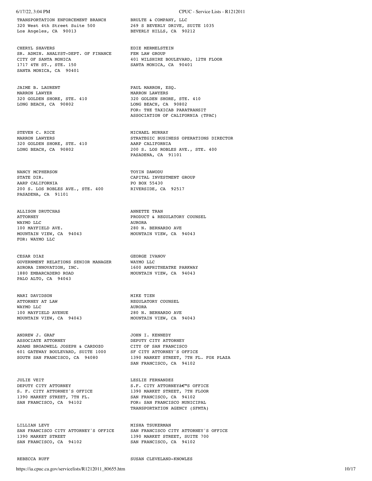TRANSPORTATION ENFORCEMENT BRANCH BRULTE & COMPANY, LLC 320 West 4th Street Suite 500 269 S BEVERLY DRIVE, SUITE 1035<br>
Los Angeles, CA 90013 BEVERLY HILLS, CA 90212

CHERYL SHAVERS **EDIE MERMELSTEIN** SR. ADMIN. ANALYST-DEPT. OF FINANCE FEM LAW GROUP<br>CITY OF SANTA MONICA 6 401 WILSHIRE 1717 4TH ST., STE. 150 SANTA MONICA, CA 90401 SANTA MONICA, CA 90401

JAIME B. LAURENT PAUL MARRON, ESQ. ARRON LAWYER 320 GOLDEN SHORE, STE. 410 320 GOLDEN SHORE, STE. 410 LONG BEACH, CA 90802 LONG BEACH, CA 90802

STEVEN C. RICE MICHAEL MURRAY 320 GOLDEN SHORE, STE. 410 AARP CALIFORNIA<br>
LONG BEACH, CA 90802 200 S. LOS ROBL

NANCY MCPHERSON TOYIN DAWODU STATE DIR. CAPITAL INVESTMENT GROUP AARP CALIFORNIA 200 S. LOS ROBLES AVE., STE. 400 RIVERSIDE, CA 92517 PASADENA, CA 91101

ALLISON DRUTCHAS ANNETTE TRAN WAYMO LLC AURORA MOUNTAIN VIEW, CA 94043 MOUNTAIN VIEW, CA 94043 FOR: WAYMO LLC

CESAR DIAZ GEORGE IVANOV GOVERNMENT RELATIONS SENIOR MANAGER WAYMO LLC<br>AURORA INNOVATION, INC. 1600 AMPHITHEATRE PARKWAY AURORA INNOVATION, INC. 1880 EMBARCADERO ROAD MOUNTAIN VIEW, CA 94043 PALO ALTO, CA 94043

MARI DAVIDSON MIKE TIEN ATTORNEY AT LAW **REGULATORY COUNSEL** WAYMO LLC AURORA 100 MAYFIELD AVENUE 280 N. BERNARDO AVE

ANDREW J. GRAF JOHN I. KENNEDY ASSOCIATE ATTORNEY DEPUTY CITY ATTORNEY ADAMS BROADWELL JOSEPH & CARDOZO CITY OF SAN FRANCISCO ADAMS BROADWELL JOSEPH & CARDOZO CITY OF SAN FRANCISCO<br>601 GATEWAY BOULEVARD, SUITE 1000 SF CITY ATTORNEY'S OFFICE<br>600TH SAN FRANCISCO, CA 94080 1390 MARKET STREET, 7TH FI

JULIE VEIT<br>DEPUTY CITY ATTORNEY THE S.F. CITY ATTORNE S. F. CITY ATTORNEY'S OFFICE 1390 MARKET STREET, 7TH FL. SAN FRANCISCO, CA 94102

LILLIAN LEVY MISHA TSUKERMAN SAN FRANCISCO CITY ATTORNEY'S OFFICE SAN FRANCISCO CITY ATTORNEY'S OFFICE 1390 MARKET STREET, SUITE 700 SAN FRANCISCO, CA 94102 SAN FRANCISCO, CA 94102

REBECCA RUFF SUSAN CLEVELAND-KNOWLES

### 6/17/22, 3:04 PM CPUC - Service Lists - R1212011

BEVERLY HILLS, CA 90212

CITY OF SANTA MONICA 401 WILSHIRE BOULEVARD, 12TH FLOOR

MARRON LAWYERS FOR: THE TAXICAB PARATRANSIT ASSOCIATION OF CALIFORNIA (TPAC)

MARRON LAWYERS STRATEGIC BUSINESS OPERATIONS DIRECTOR 200 S. LOS ROBLES AVE., STE. 400 PASADENA, CA 91101

PRODUCT & REGULATORY COUNSEL 280 N. BERNARDO AVE

MOUNTAIN VIEW, CA 94043 MOUNTAIN VIEW, CA 94043

1390 MARKET STREET, 7TH FL. FOX PLAZA SAN FRANCISCO, CA 94102

S.F. CITY ATTORNEY'S OFFICE<br>1390 MARKET STREET, 7TH FLOOR SAN FRANCISCO, CA 94102 FOR: SAN FRANCISCO MUNICIPAL TRANSPORTATION AGENCY (SFMTA)

1390 MARKET STREET, SUITE 700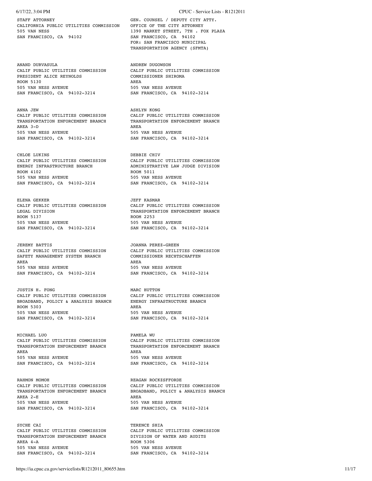CALIFORNIA PUBLIC UTILITIES COMMISSION OFFICE OF THE CITY ATTORNEY 505 VAN NESS 1390 MARKET STREET, 7TH . FOX PLAZA SAN FRANCISCO, CA 94102 SAN FRANCISCO, CA 94102

ANAND DURVASULA ANDREW DUGOWSON PRESIDENT ALICE REYNOLDS ROOM 5130 AREA<br>505 VAN NESS AVENUE SAN FRANCISCO, CA 94102-3214

ANNA JEW ASHLYN KONG AREA 3-D AREA 505 VAN NESS AVENUE<br>
SAN FRANCISCO, CA 94102-3214<br>
SAN FRANCISCO, CA 94102-3214<br>
SAN FRANCISCO, CA 94102-3214 SAN FRANCISCO, CA 94102-3214

CHLOE LUKINS **DEBBIE CHIV** CALIF PUBLIC UTILITIES COMMISSION CALIF PUBLIC UTILITIES COMMISSION<br>ENERGY INFRASTRUCTURE BRANCH ADMINISTRATIVE LAW JUDGE DIVISION ROOM 4102 ROOM 5011 505 VAN NESS AVENUE<br>
SAN FRANCISCO, CA 94102-3214<br>
SAN FRANCISCO, CA 94102-3214<br>
SAN FRANCISCO, CA 94102-3214 SAN FRANCISCO, CA 94102-3214

ELENA GEKKER **JEFF KASMAR** 505 VAN NESS AVENUE<br>
SAN FRANCISCO, CA 94102-3214<br>
SAN FRANCISCO, CA 94102-3214<br>
SAN FRANCISCO, CA 94102-3214 SAN FRANCISCO, CA 94102-3214

CALIF PUBLIC UTILITIES COMMISSION CALIF PUBLIC UTILITIES COMMISSION SAFETY MANAGEMENT SYSTEM BRANCH COMMISSIONER RECHTSCHAFFEN AREA AREA SAN FRANCISCO, CA 94102-3214 SAN FRANCISCO, CA 94102-3214

CALIF PUBLIC UTILITIES COMMISSION CALIF PUBLIC UTILITIES COMMISSION BROADBAND, POLICY & ANALYSIS BRANCH ENERGY INFRASTRUCTURE BRANCH ROOM 5303 AREA 505 VAN NESS AVENUE 505 VAN NESS AVENUE SAN FRANCISCO, CA 94102-3214 SAN FRANCISCO, CA 94102-3214

CALIF PUBLIC UTILITIES COMMISSION CALIF PUBLIC UTILITIES COMMISSION AREA AREA 505 VAN NESS AVENUE 505 VAN NESS AVENUE SAN FRANCISCO, CA 94102-3214 SAN FRANCISCO, CA 94102-3214

RAHMON MOMOH<br>
CALIF PUBLIC UTILITIES COMMISSION<br>
CALIF PUBLIC UTILITIES COMMISSION<br>
CALIF PUBLIC UTILITIES COMMISSION CALIF PUBLIC UTILITIES COMMISSION<br>TRANSPORTATION ENFORCEMENT BRANCH AREA 2-E AREA 505 VAN NESS AVENUE<br>
SAN FRANCISCO, CA 94102-3214<br>
SAN FRANCISCO, CA 94102-3214<br>
SAN FRANCISCO, CA 94102-3214 SAN FRANCISCO, CA 94102-3214

SYCHE CAI TERENCE SHIA TRANSPORTATION ENFORCEMENT BRANCH AREA 4-A ROOM 5306 SAN FRANCISCO, CA 94102-3214 SAN FRANCISCO, CA 94102-3214

### 6/17/22, 3:04 PM CPUC - Service Lists - R1212011

STAFF ATTORNEY **GEN.** COUNSEL / DEPUTY CITY ATTY. FOR: SAN FRANCISCO MUNICIPAL TRANSPORTATION AGENCY (SFMTA)

> CALIF PUBLIC UTILITIES COMMISSION<br>COMMISSIONER SHIROMA 505 VAN NESS AVENUE<br>SAN FRANCISCO, CA 94102-3214

CALIF PUBLIC UTILITIES COMMISSION CALIF PUBLIC UTILITIES COMMISSION<br>TRANSPORTATION ENFORCEMENT BRANCH TRANSPORTATION ENFORCEMENT BRANCH TRANSPORTATION ENFORCEMENT BRANCH

ADMINISTRATIVE LAW JUDGE DIVISION

CALIF PUBLIC UTILITIES COMMISSION CALIF PUBLIC UTILITIES COMMISSION LEGAL DIVISION **TRANSPORTATION ENFORCEMENT BRANCH**<br>ROOM 5137 ROOM 2253

JOANNA PEREZ-GREEN<br>CALIF PUBLIC UTILITIES COMMISSION CALIF PUBLIC UTILITIES COMMISSION 505 VAN NESS AVENUE 505 VAN NESS AVENUE

JUSTIN H. FONG<br>CALIF PUBLIC UTILITIES COMMISSION CALIF PUBLIC UTILITIES COMMISSION

MICHAEL LUO<br>CALIF PUBLIC UTILITIES COMMISSION CALIF PUBLIC UTILITIES COMMISSION TRANSPORTATION ENFORCEMENT BRANCH TRANSPORTATION ENFORCEMENT BRANCH

BROADBAND, POLICY & ANALYSIS BRANCH

CALIF PUBLIC UTILITIES COMMISSION CALIF PUBLIC UTILITIES COMMISSION<br>TRANSPORTATION ENFORCEMENT BRANCH DIVISION OF WATER AND AUDITS 505 VAN NESS AVENUE 505 VAN NESS AVENUE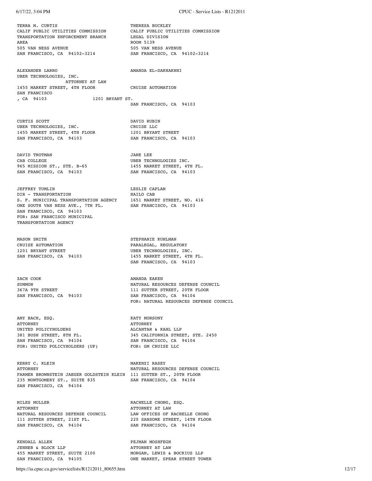6/17/22, 3:04 PM CPUC - Service Lists - R1212011 TERRA M. CURTIS THERESA BUCKLEY CALIF PUBLIC UTILITIES COMMISSION CALIF PUBLIC UTILITIES COMMISSION TRANSPORTATION ENFORCEMENT BRANCH LEGAL DIVISION AREA ROOM 5139 505 VAN NESS AVENUE<br>
SAN FRANCISCO, CA 94102-3214<br>
SAN FRANCISCO, CA 94102-3214<br>
SAN FRANCISCO, CA 94102-3214 SAN FRANCISCO, CA 94102-3214 ALEXANDER LARRO AMANDA EL-DAKHAKHNI UBER TECHNOLOGIES, INC. ATTORNEY AT LAW 1455 MARKET STREET, 4TH FLOOR CRUISE AUTOMATION SAN FRANCISCO<br>, CA 94103 1201 BRYANT ST. SAN FRANCISCO, CA 94103 CURTIS SCOTT DAVID RUBIN UBER TECHNOLOGIES, INC.<br>1455 MARKET STREET, 4TH FLOOR 1201 BRYANT STREET 1455 MARKET STREET, 4TH FLOOR 1201 BRYANT STREET<br>
SAN FRANCISCO, CA 94103 SAN FRANCISCO, CA 94103 SAN FRANCISCO, CA 94103 DAVID TROTMAN JANE LEE CAB COLLEGE UBER TECHNOLOGIES INC.<br>
965 MISSION ST., STE. B-65 1455 MARKET STREET, 4T 1455 MARKET STREET, 4TH FL.<br>SAN FRANCISCO, CA 94103 SAN FRANCISCO, CA 94103 JEFFREY TUMLIN LESLIE CAPLAN DIR - TRANSPORTATION HAILO CAB S. F. MUNICIPAL TRANSPORTATION AGENCY 1651 MARKET STREET, NO. 416 ONE SOUTH VAN NESS AVE., 7TH FL. SAN FRANCISCO, CA 94103 SAN FRANCISCO, CA 94103 FOR: SAN FRANCISCO MUNICIPAL TRANSPORTATION AGENCY MASON SMITH STEPHANIE KUHLMAN CRUISE AUTOMATION CRUISE AUTOMATION PARALEGAL, REGULATORY PARALEGAL, PRESENTENT PARALEGAL, PRESENTENT AND REGULATORY UBER TECHNOLOGIES, INC. SAN FRANCISCO, CA 94103 1455 MARKET STREET, 4TH FL. SAN FRANCISCO, CA 94103 ZACH COOK AMANDA EAKEN SUMMON SUMMON SUMMON NATURAL RESOURCES DEFENSE COUNCIL 367A 9TH STREET 111 SUTTER STREET, 20TH FLOOR SAN FRANCISCO, CA 94104 SAN FRANCISCO, CA 94103 FOR: NATURAL RESOURCES DEFENSE COUNCIL AMY BACH, ESQ. KATY MORSONY ATTORNEY<br>ALCANTAR & KAHL LLP UNITED POLICYHOLDERS **ALCANTAR & KAHL LLP** 381 BUSH STREET, 8TH FL. 345 CALIFORNIA STREET, STE. 2450 SAN FRANCISCO, CA 94104 SAN FRANCISCO, CA 94104 FOR: UNITED POLICYHOLDERS (UP) FOR: GM CRUISE LLC KERRY C. KLEIN MAKENZI RASEY ATTORNEY NATURAL RESOURCES DEFENSE COUNCIL FARMER BROWNSTEIN JAEGER GOLDSTEIN KLEIN 111 SUTTER ST., 20TH FLOOR 235 MONTGOMERY ST., SUITE 835 SAN FRANCISCO, CA 94104 SAN FRANCISCO, CA 94104 MILES MULLER **MULLER RACHELLE CHONG, ESQ. ATTORNEY ATTORNEY ATTORNEY ATTORNEY** ATTORNEY ATTORNEY AT LAW NATURAL RESOURCES DEFENSE COUNCIL LAW OFFICES OF RACHELLE CHONG 111 SUTTER STREET, 21ST FL. 220 SANSOME STREET, 14TH FLOOR<br>
SAN FRANCISCO, CA 94104 SAN FRANCISCO, CA 94104 SAN FRANCISCO, CA 94104 KENDALL ALLEN **PEJMAN MOSHFEGH** JENNER & BLOCK LLP<br>455 MARKET STREET, SUITE 2100 MORGAN, LEWIS & BOCKIUS LLP

https://ia.cpuc.ca.gov/servicelists/R1212011\_80655.htm 12/17

SAN FRANCISCO, CA 94105 ONE MARKET, SPEAR STREET TOWER

455 MARKET STREET, SUITE 2100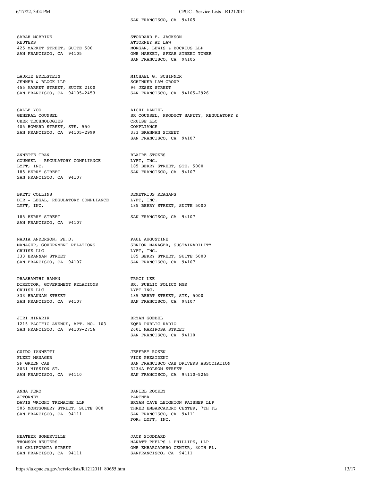SARAH MCBRIDE STODDARD F. JACKSON REUTERS 425 MARKET STREET, SUITE 500 MORGAN, LEWIS & BOCKIUS LLP<br>
SAN FRANCISCO, CA 94105 MONE MARKET, SPEAR STREET TO

LAURIE EDELSTEIN MICHAEL G. SCHINNER JENNER & BLOCK LLP SCHINNER LAW GROUP 455 MARKET STREET, SUITE 2100 96 JESSE STREET SAN FRANCISCO, CA 94105-2453 SAN FRANCISCO, CA 94105-2926

SALLE YOO AICHI DANIEL UBER TECHNOLOGIES CRUISE LLC 405 HOWARD STREET, STE. 550 COMPLIANCE<br>
SAN FRANCISCO, CA 94105-2999 333 BRANNAN STREET SAN FRANCISCO, CA 94105-2999

ANNETTE TRAN BLAIRE STOKES COUNSEL - REGULATORY COMPLIANCE LYFT, INC. LYFT, INC. 185 BERRY STREET, STE. 5000 185 BERRY STREET SAN FRANCISCO, CA 94107 SAN FRANCISCO, CA 94107

BRETT COLLINS DEMETRIUS REAGANS DIR - LEGAL, REGULATORY COMPLIANCE LYFT, INC. LYFT, INC. THE SERRY STREET, SUITE 5000

SAN FRANCISCO, CA 94107

NADIA ANDERSON, PH.D. PAUL AUGUSTINE 333 BRANNAN STREET 185 BERRY STREET, SUITE 5000<br>
SAN FRANCISCO, CA 94107 185 SAN FRANCISCO, CA 94107 SAN FRANCISCO, CA 94107

PRASHANTHI RAMAN TRACI LEE DIRECTOR, GOVERNMENT RELATIONS SR. PUBLIC POLICY MGR CRUISE LLC<br>333 BRANNAN STREET 185 BERRT 185 BERRT SAN FRANCISCO, CA 94107 SAN FRANCISCO, CA 94107

JIRI MINARIK BRYAN GOEBEL<br>1215 PACIFIC AVENUE, APT. NO. 103 KQED PUBLIC RADIO 1215 PACIFIC AVENUE, APT. NO. 103 KQED PUBLIC RADIO<br>SAN FRANCISCO. CA 94109-2756 2601 MARIPOSA STREET SAN FRANCISCO, CA 94109-2756

GUIDO IANNETTI **JEFFREY ROSEN** FLEET MANAGER VICE PRESIDENT 3031 MISSION ST. 3234A FOLSOM STREET SAN FRANCISCO, CA 94110 SAN FRANCISCO, CA

ANNA FERO DANIEL ROCKEY ATTORNEY PARTNER 505 MONTGOMERY STREET, SUITE 800 THREE EMBARCADERO CENTER, 7TH FL SAN FRANCISCO, CA 94111 SAN FRANCISCO, CA 94111

HEATHER SOMERVILLE JACK STODDARD

SAN FRANCISCO, CA 94105

ATTORNEY AT LAW ONE MARKET, SPEAR STREET TOWER SAN FRANCISCO, CA 94105

GENERAL COUNSEL SR COUNSEL, PRODUCT SAFETY, REGULATORY & SAN FRANCISCO, CA 94107

185 BERRY STREET SAN FRANCISCO, CA 94107

MANAGER, GOVERNMENT RELATIONS SENIOR MANAGER, SUSTAINABILITY CRUISE LLC

185 BERRT STREET, STE, 5000

SAN FRANCISCO, CA 94110

SF GREEN CAB SAN FRANCISCO CAB DRIVERS ASSOCIATION SAN FRANCISCO, CA 94110-5265

DAVIS WRIGHT TREMAINE LLP **BRYAN CAVE LEIGHTON PAISNER LLP** FOR: LYFT, INC.

THOMSON REUTERS **MANATT PHELPS** & PHILLIPS, LLP 50 CALIFORNIA STREET ONE EMBARCADERO CENTER, 30TH FL. SAN FRANCISCO, CA 94111 SANFRANCISCO, CA 94111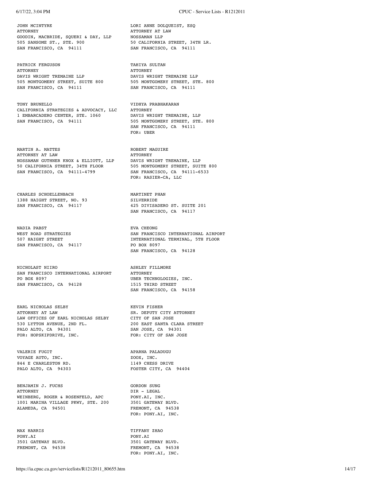JOHN MCINTYRE LORI ANNE DOLQUEIST, ESQ ATTORNEY ATTORNEY AT LAW GOODIN, MACBRIDE, SQUERI & DAY, LLP MOSSAMAN LLP<br>505 SANSOME ST., STE, 900 50 CALIFORNIA STREET, 34TH LR. 505 SANSOME ST., STE. 900 50 CALIFORNIA STREET, 34TH LR. SAN FRANCISCO, CA 94111 SAN FRANCISCO, CA 94111

PATRICK FERGUSON DERING THE TAHIYA SULTAN ATTORNEY ATTORNEY ATTORNEY THE SERVICE OF A PARTICULAR AND A PARTICULAR AND A PARTICULAR AND A PARTICULAR AND A PARTICULAR AND A DAVIS WRIGHT TREMAINE LLP **DAVIS WRIGHT TREMAINE LLP** SOS MONTGOMERY STREET, SUITE 800 505 MONTGOMERY STREET, STE. 800<br>
SAN FRANCISCO, CA 94111 5AN FRANCISCO, CA 94111 SAN FRANCISCO, CA 94111

TONY BRUNELLO VIDHYA PRABHAKARAN CALIFORNIA STRATEGIES & ADVOCACY, LLC ATTORNEY 1 EMBARCADERO CENTER, STE. 1060 DAVIS WRIGHT TREMAINE, LLP

MARTIN A. MATTES SAN SERIES ROBERT MAGUIRE ATTORNEY AT LAW ATTORNEY AT LAW **ATTORNEY** NOSSAMAN GUTHNER KNOX & ELLIOTT, LLP DAVIS WRIGHT TREMAINE, LLP NOSSAMAN GUINNER RNOA & ELECTRIC CORPORT CONSUMERY STREET, SUITE 800<br>50 CALIFORNIA STREET, 34TH FLOOR 505 MONTGOMERY STREET, SUITE 800<br>5AN FRANCISCO, CA 94111-4799 5AN FRANCISCO, CA 94111-6533 SAN FRANCISCO, CA 94111-4799

CHARLES SCHOELLENBACH MARTINET PHAN
1388
HAIGHT
STREET, NO. 93
SILVERRIDE 1388 HAIGHT STREET, NO. 93

NADIA PABST EVA CHEONG SAN FRANCISCO, CA 94117 PO BOX 8097

NICHOLAST NIIRO ASHLEY FILLMORE SAN FRANCISCO INTERNATIONAL AIRPORT ATTORNEY PO BOX 8097 UBER TECHNOLOGIES, INC. SAN FRANCISCO, CA 94128 1515 THIRD STREET

EARL NICHOLAS SELBY KEVIN FISHER ATTORNEY AT LAW SR. DEPUTY CITY ATTORNEY LAW OFFICES OF EARL NICHOLAS SELBY CITY OF SAN JOSE 530 LYTTON AVENUE, 2ND FL. 200 EAST SANTA CLARA STREET PALO ALTO, CA 94301 SAN JOSE, CA 94301 FOR: HOPSKIPDRIVE, INC. FOR: CITY OF SAN JOSE

VALERIE FUGIT APARNA PALADUGU VOYAGE AUTO, INC. 844 E CHARLESTON RD. 1149 CHESS DRIVE

BENJAMIN J. FUCHS GORDON SUNG ATTORNEY DIR - LEGAL WEINBERG, ROGER & ROSENFELD, APC PONY.AI, INC. WEINBERG, ROGER & ROSENFELD, APC PONY.AI, INC.<br>1001 MARINA VILLAGE PKWY, STE. 200 3501 GATEWAY BLVD. 1001 MARINA VILLAGE PKWY, STE. 200<br>ALAMEDA, CA 94501

PONY.AI PONY.AI PONY.AI PONY.AI PONY.AI FREMONT, CA 94538

505 MONTGOMERY STREET, STE. 800 SAN FRANCISCO, CA 94111 FOR: UBER

FOR: RASIER-CA, LLC

SAN FRANCISCO, CA 94117 425 DIVISADERO ST. SUITE 201 SAN FRANCISCO, CA 94117

WEST ROAD STRATEGIES SAN FRANCISCO INTERNATIONAL AIRPORT 507 HAIGHT STREET **INTERNATIONAL TERMINAL, 5TH FLOOR** SAN FRANCISCO, CA 94128

SAN FRANCISCO, CA 94158

PALO ALTO, CA 94303 FOSTER CITY, CA 94404

FREMONT, CA 94538 FOR: PONY.AI, INC.

MAX HARRIS **TIFFANY ZHAO** 3501 GATEWAY BLVD.<br>FREMONT, CA 94538 FOR: PONY.AI, INC.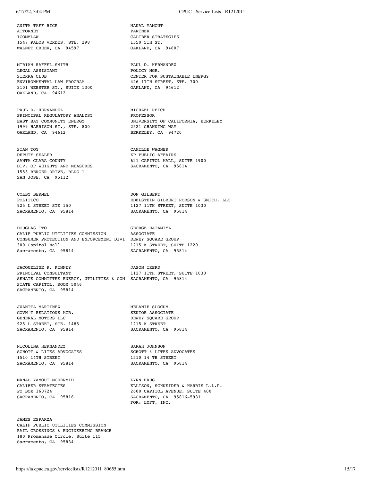ANITA TAFF-RICE MANAL YAMOUT ATTORNEY PARTNER ICOMMLAW CALIBER STRATEGIES<br>1547 PALOS VERDES, STE, 298 1550 5TH ST. 1547 PALOS VERDES, STE. 298 WALNUT CREEK, CA 94597 0AKLAND, CA 94607

MIRIAM RAFFEL-SMITH PAUL D. HERNANDEZ LEGAL ASSISTANT POLICY MGR. ENVIRONMENTAL LAW PROGRAM 426 17TH STREET, STE. 700 2101 WEBSTER ST., SUITE 1300 OAKLAND, CA 94612 OAKLAND, CA 94612

PAUL D. HERNANDEZ MICHAEL REICH PRINCIPAL REGULATORY ANALYST PROFESSOR EAST BAY COMMUNITY ENERGY **PROFESSOR** 1999 HARRISON ST., STE. 800 2521 CHANNING WAY<br>OAKLAND, CA 94612 28 BERKELEY, CA 94720 OAKLAND,  $CA$  94612

STAN TOY CAMILLE WAGNER DIV. OF WEIGHTS AND MEASURES 1553 BERGER DRIVE, BLDG 1 SAN JOSE, CA 95112

COLBY BERMEL DON GILBERT

DOUGLAS ITO GEORGE HATAMIYA CALIF PUBLIC UTILITIES COMMISSION ASSOCIATE CONSUMER PROTECTION AND ENFORCEMENT DIVI DEWEY SQUARE GROUP 300 Capitol Mall 1215 K STREET, SUITE 1220<br>
Sacramento, CA 95814<br>
SACRAMENTO, CA 95814 Sacramento, CA 95814

JACQUELINE R. KINNEY JASON IKERD PRINCIPAL CONSULTANT 1127 11TH STREET, SUITE 1030 SENATE COMMITTEE ENERGY, UTILITIES & COM SACRAMENTO, CA 95814 STATE CAPITOL, ROOM 5046 SACRAMENTO, CA 95814

JUANITA MARTINEZ **MELANIE SLOCUM** GOVN'T RELATIONS MGR. SENIOR ASSOCIATE GENERAL MOTORS LLC<br>
925 L STREET, STE. 1485<br>
1215 K STREET 925 L STREET, STE. 1485<br>
SACRAMENTO, CA 95814<br>
SACRAMENTO, CA 95814<br>
SACRAMENTO, CA 95814 SACRAMENTO, CA 95814

NICOLINA HERNANDEZ SARAH JOHNSON SACRAMENTO, CA 95814 SACRAMENTO, CA 95814

MANAL YAMOUT MCDERMID<br>
CALIBER STRATEGIES<br>
ELLISON, S

JAMES ESPARZA CALIF PUBLIC UTILITIES COMMISSION RAIL CROSSINGS & ENGINEERING BRANCH 180 Promenade Circle, Suite 115 Sacramento, CA 95834

LEGAL ASSISTANT THE POLICY MGR.<br>
SIERRA CLUB TERRA CLUB SIERRA CLUB CENTER FOR SUSTAINABLE ENERGY

EAST BAY OF CALIFORNIA, BERKELEY<br>2521 CHANNING WAY

KP PUBLIC AFFAIRS SANTA CLARA COUNTY 621 CAPITOL MALL, SUITE 1900<br>DIV. OF WEIGHTS AND MEASURES 6ACRAMENTO, CA 95814

POLITICO EDELSTEIN GILBERT ROBSON & SMITH, LLC 925 L STREET STE 150 1127 11TH STREET, SUITE 1030 SACRAMENTO, CA 95814 SACRAMENTO, CA 95814

SCHOTT & LITES ADVOCATES SCHOTT & LITES ADVOCATES 1510 14 TH STREET 1510 14TH STREET 1510 14 TH STREET

CALIBER STRATEGIES ELLISON, SCHNEIDER & HARRIS L.L.P.<br>PO BOX 160724 2600 CAPITOL AVENUE, SUITE 400 2600 CAPITOL AVENUE, SUITE 400 SACRAMENTO, CA 95816 SACRAMENTO, CA 95816-5931 FOR: LYFT, INC.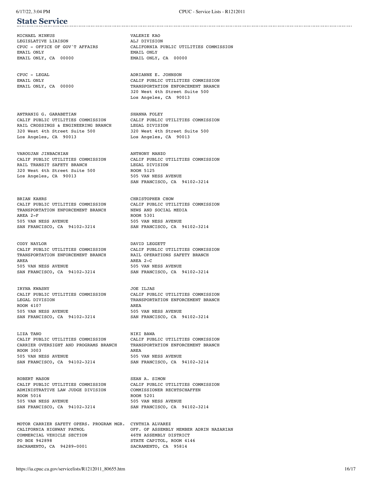# **State Service**

MICHAEL MINKUS VALERIE KAO LEGISLATIVE LIAISON ALJ DIVISION EMAIL ONLY EMAIL ONLY EMAIL ONLY, CA 00000 EMAIL ONLY, CA 00000

CPUC - LEGAL ADRIANNE E. JOHNSON

ANTRANIG G. GARABETIAN SHANNA FOLEY RAIL CROSSINGS & ENGINEERING BRANCH 320 West 4th Street Suite 500 320 West 4th Street Suite 500<br>
Los Angeles, CA 90013 500 100 100 100 100 10013

VAROUJAN JINBACHIAN ANTHONY MANZO CALIF PUBLIC UTILITIES COMMISSION CALIF PUBLIC UTILITIES COMMISSION RAIL TRANSIT SAFETY BRANCH<br>320 West 4th Street Suite 500 ROOM 5125 320 West 4th Street Suite 500 ROOM 5125<br>
Los Angeles, CA 90013 505 VAN NESS AVENUE Los Angeles, CA 90013

BRIAN KAHRS **CHRISTOPHER CHOW** CALIF PUBLIC UTILITIES COMMISSION CALIF PUBLIC UTILITIES COMMISSION<br>TRANSPORTATION ENFORCEMENT BRANCH NEWS AND SOCIAL MEDIA TRANSPORTATION ENFORCEMENT BRANCH AREA 2-F ROOM 5301 505 VAN NESS AVENUE<br>505 VAN PRANCISCO, CA 94102-3214 SAN FRANCISCO, CA 94102-3214 SAN FRANCISCO, CA 94102-3214

CODY NAYLOR DAVID LEGGETT CALIF PUBLIC UTILITIES COMMISSION CALIF PUBLIC UTILITIES COMMISSION TRANSPORTATION ENFORCEMENT BRANCH<br>AREA 2-C<br>AREA 2-C 505 VAN NESS AVENUE<br>505 VAN RESS AVENUE 505 VAN NESS AVENUE 505 VAN NESS AVENUE SAN FRANCISCO, CA 94102-3214

CALIF PUBLIC UTILITIES COMMISSION CALIF PUBLIC UTILITIES COMMISSION ROOM 4107 AREA SAN FRANCISCO, CA 94102-3214 SAN FRANCISCO, CA 94102-3214

LIZA TANO NIKI BAWA CALIF PUBLIC UTILITIES COMMISSION CALIF PUBLIC UTILITIES COMMISSION CARRIER OVERSIGHT AND PROGRAMS BRANCH TRANSPORTATION ENFORCEMENT BRANCH ROOM 3003 AREA 505 VAN NESS AVENUE 505 VAN NESS AVENUE SAN FRANCISCO, CA 94102-3214 SAN FRANCISCO, CA 94102-3214

ROBERT MASON SEAN A. SIMON CALIF PUBLIC UTILITIES COMMISSION CALIF PUBLIC UTILITIES COMMISSION<br>ADMINISTRATIVE LAW JUDGE DIVISION COMMISSIONER RECHTSCHAFFEN ADMINISTRATIVE LAW JUDGE DIVISION ROOM 5016 ROOM 5201 ROOM 5201 ROOM 5201 SAN FRANCISCO, CA 94102-3214 SAN FRANCISCO, CA 94102-3214

MOTOR CARRIER SAFETY OPERS. PROGRAM MGR. CYNTHIA ALVAREZ CALIFORNIA HIGHWAY PATROL **CALIFORNIA COMMERCIAL VEHICLE SECTION** OF ASSEMBLY DISTRICT COMMERCIAL VEHICLE SECTION PO BOX 942898 STATE CAPITOL, ROOM 4146 SACRAMENTO, CA 94289-0001

CPUC - OFFICE OF GOV'T AFFAIRS CALIFORNIA PUBLIC UTILITIES COMMISSION

EMAIL ONLY CALIF PUBLIC UTILITIES COMMISSION EMAIL ONLY, CA 00000 TRANSPORTATION ENFORCEMENT BRANCH 320 West 4th Street Suite 500 Los Angeles, CA 90013

> CALIF PUBLIC UTILITIES COMMISSION CALIF PUBLIC UTILITIES COMMISSION Los Angeles, CA 90013

> > SAN FRANCISCO, CA 94102-3214

AREA AREA 2-C

IRYNA KWASNY<br>CALIF PUBLIC UTILITIES COMMISSION CALIF PUBLIC UTILITIES COMMISSION LEGAL DIVISION TRANSPORTATION ENFORCEMENT BRANCH 505 VAN NESS AVENUE 505 VAN NESS AVENUE

505 VAN NESS AVENUE 505 VAN NESS AVENUE